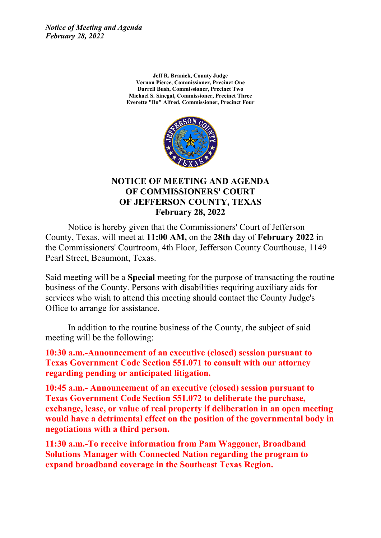*Notice of Meeting and Agenda February 28, 2022*

> **Jeff R. Branick, County Judge Vernon Pierce, Commissioner, Precinct One Darrell Bush, Commissioner, Precinct Two Michael S. Sinegal, Commissioner, Precinct Three Everette "Bo" Alfred, Commissioner, Precinct Four**



#### **NOTICE OF MEETING AND AGENDA OF COMMISSIONERS' COURT OF JEFFERSON COUNTY, TEXAS February 28, 2022**

Notice is hereby given that the Commissioners' Court of Jefferson County, Texas, will meet at **11:00 AM,** on the **28th** day of **February 2022** in the Commissioners' Courtroom, 4th Floor, Jefferson County Courthouse, 1149 Pearl Street, Beaumont, Texas.

Said meeting will be <sup>a</sup> **Special** meeting for the purpose of transacting the routine business of the County. Persons with disabilities requiring auxiliary aids for services who wish to attend this meeting should contact the County Judge's Office to arrange for assistance.

In addition to the routine business of the County, the subject of said meeting will be the following:

**10:30 a.m.-Announcement of an executive (closed) session pursuant to Texas Government Code Section 551.071 to consult with our attorney regarding pending or anticipated litigation.**

**10:45 a.m.- Announcement of an executive (closed) session pursuant to Texas Government Code Section 551.072 to deliberate the purchase, exchange, lease, or value of real property if deliberation in an open meeting would have <sup>a</sup> detrimental effect on the position of the governmental body in negotiations with <sup>a</sup> third person.**

**11:30 a.m.-To receive information from Pam Waggoner, Broadband Solutions Manager with Connected Nation regarding the program to expand broadband coverage in the Southeast Texas Region.**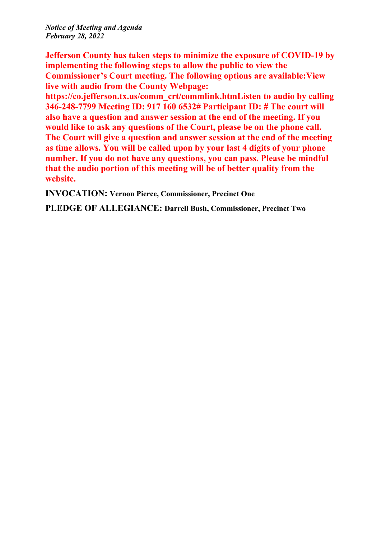*Notice of Meeting and Agenda February 28, 2022*

**Jefferson County has taken steps to minimize the exposure of COVID-19 by implementing the following steps to allow the public to view the Commissioner's Court meeting. The following options are available:View live with audio from the County Webpage:**

**https://co.jefferson.tx.us/comm\_crt/commlink.htmListen to audio by calling 346-248-7799 Meeting ID: 917 160 6532# Participant ID: # The court will also have <sup>a</sup> question and answer session at the end of the meeting. If you would like to ask any questions of the Court, please be on the phone call. The Court will give <sup>a</sup> question and answer session at the end of the meeting as time allows. You will be called upon by your last 4 digits of your phone number. If you do not have any questions, you can pass. Please be mindful that the audio portion of this meeting will be of better quality from the website.**

**INVOCATION: Vernon Pierce, Commissioner, Precinct One**

**PLEDGE OF ALLEGIANCE: Darrell Bush, Commissioner, Precinct Two**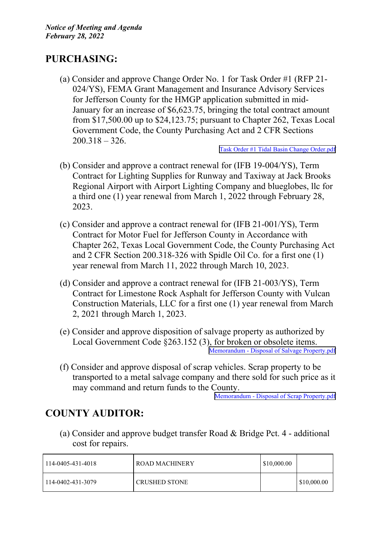# **PURCHASING:**

(a) Consider and approve Change Order No. 1 for Task Order #1 (RFP 21- 024/YS), FEMA Grant Management and Insurance Advisory Services for Jefferson County for the HMGP application submitted in mid-January for an increase of \$6,623.75, bringing the total contract amount from \$17,500.00 up to \$24,123.75; pursuan<sup>t</sup> to Chapter 262, Texas Local Government Code, the County Purchasing Act and 2 CFR Sections 200.318 – 326.

Task Order #1 Tidal Basin Change [Order.pdf](http://co.jefferson.tx.us/agenda/agendas_pl/20220228_680/Attachments/Task Order #1 Tidal Basin Change Order.pdf)

- (b) Consider and approve <sup>a</sup> contract renewal for (IFB 19-004/YS), Term Contract for Lighting Supplies for Runway and Taxiway at Jack Brooks Regional Airport with Airport Lighting Company and blueglobes, llc for <sup>a</sup> third one (1) year renewal from March 1, 2022 through February 28, 2023.
- (c) Consider and approve <sup>a</sup> contract renewal for (IFB 21-001/YS), Term Contract for Motor Fuel for Jefferson County in Accordance with Chapter 262, Texas Local Government Code, the County Purchasing Act and 2 CFR Section 200.318-326 with Spidle Oil Co. for <sup>a</sup> first one (1) year renewal from March 11, 2022 through March 10, 2023.
- (d) Consider and approve <sup>a</sup> contract renewal for (IFB 21-003/YS), Term Contract for Limestone Rock Asphalt for Jefferson County with Vulcan Construction Materials, LLC for <sup>a</sup> first one (1) year renewal from March 2, 2021 through March 1, 2023.
- (e) Consider and approve disposition of salvage property as authorized by Local Government Code §263.152 (3), for broken or obsolete items. Memorandum - Disposal of Salvage [Property.pdf](http://co.jefferson.tx.us/agenda/agendas_pl/20220228_680/Attachments/Memorandum - Disposal of Salvage Property.pdf)
- (f) Consider and approve disposal of scrap vehicles. Scrap property to be transported to <sup>a</sup> metal salvage company and there sold for such price as it may command and return funds to the County.

Memorandum - Disposal of Scrap [Property.pdf](http://co.jefferson.tx.us/agenda/agendas_pl/20220228_680/Attachments/Memorandum - Disposal of Scrap Property.pdf)

## **COUNTY AUDITOR:**

(a) Consider and approve budget transfer Road & Bridge Pct. 4 - additional cost for repairs.

| 114-0405-431-4018 | ROAD MACHINERY       | \$10,000.00 |                    |
|-------------------|----------------------|-------------|--------------------|
| 114-0402-431-3079 | <b>CRUSHED STONE</b> |             | $\mid$ \$10,000.00 |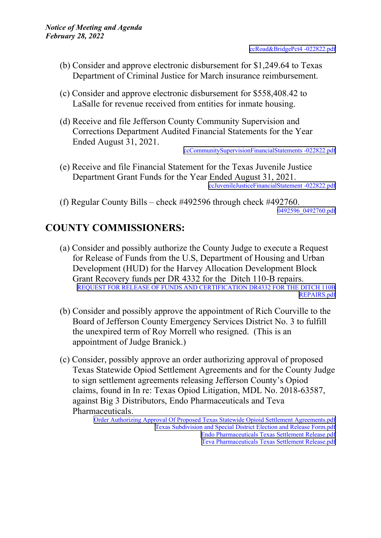- (b) Consider and approve electronic disbursement for \$1,249.64 to Texas Department of Criminal Justice for March insurance reimbursement.
- (c) Consider and approve electronic disbursement for \$558,408.42 to LaSalle for revenue received from entities for inmate housing.
- (d) Receive and file Jefferson County Community Supervision and Corrections Department Audited Financial Statements for the Year Ended August 31, 2021.

[ccCommunitySupervisionFinancialStatements](http://co.jefferson.tx.us/agenda/agendas_pl/20220228_680/Attachments/ccCommunitySupervisionFinancialStatements -022822.pdf) -022822.pdf

- (e) Receive and file Financial Statement for the Texas Juvenile Justice Department Grant Funds for the Year Ended August 31, 2021. [ccJuvenileJusticeFinancialStatement](http://co.jefferson.tx.us/agenda/agendas_pl/20220228_680/Attachments/ccJuvenileJusticeFinancialStatement -022822.pdf) -022822.pdf
- (f) Regular County Bills check #492596 through check #492760. [0492596](http://co.jefferson.tx.us/agenda/agendas_pl/20220228_680/Attachments/0492596_0492760.pdf)\_[0492760.pdf](http://co.jefferson.tx.us/agenda/agendas_pl/20220228_680/Attachments/0492596_0492760.pdf)

# **COUNTY COMMISSIONERS:**

- (a) Consider and possibly authorize the County Judge to execute <sup>a</sup> Request for Release of Funds from the U.S, Department of Housing and Urban Development (HUD) for the Harvey Allocation Development Block Grant Recovery funds per DR 4332 for the Ditch 110-B repairs. REQUEST FOR RELEASE OF FUNDS AND [CERTIFICATION](http://co.jefferson.tx.us/agenda/agendas_pl/20220228_680/Attachments/REQUEST FOR RELEASE OF FUNDS AND CERTIFICATION DR4332 FOR THE DITCH 110B REPAIRS.pdf) DR4332 FOR THE DITCH 110B [REPAIRS.pdf](http://co.jefferson.tx.us/agenda/agendas_pl/20220228_680/Attachments/REQUEST FOR RELEASE OF FUNDS AND CERTIFICATION DR4332 FOR THE DITCH 110B REPAIRS.pdf)
- (b) Consider and possibly approve the appointment of Rich Courville to the Board of Jefferson County Emergency Services District No. 3 to fulfill the unexpired term of Roy Morrell who resigned. (This is an appointment of Judge Branick.)
- (c) Consider, possibly approve an order authorizing approval of proposed Texas Statewide Opiod Settlement Agreements and for the County Judge to sign settlement agreements releasing Jefferson County's Opiod claims, found in In re: Texas Opiod Litigation, MDL No. 2018-63587, against Big 3 Distributors, Endo Pharmaceuticals and Teva Pharmaceuticals.

Order Authorizing Approval Of Proposed Texas Statewide Opioid Settlement [Agreements.pdf](http://co.jefferson.tx.us/agenda/agendas_pl/20220228_680/Attachments/Order Authorizing Approval Of Proposed Texas Statewide Opioid Settlement Agreements.pdf) Texas Subdivision and Special District Election and Release [Form.pdf](http://co.jefferson.tx.us/agenda/agendas_pl/20220228_680/Attachments/Texas Subdivision and Special District Election and Release Form.pdf) Endo [Pharmaceuticals](http://co.jefferson.tx.us/agenda/agendas_pl/20220228_680/Attachments/Endo Pharmaceuticals Texas Settlement Release.pdf) Texas Settlement Release.pdf Teva [Pharmaceuticals](http://co.jefferson.tx.us/agenda/agendas_pl/20220228_680/Attachments/Teva Pharmaceuticals Texas Settlement Release.pdf) Texas Settlement Release.pdf